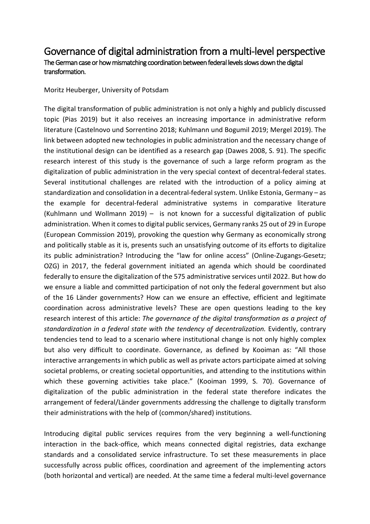## Governance of digital administration from a multi-level perspective The German case or how mismatching coordination between federal levels slows down the digital transformation.

Moritz Heuberger, University of Potsdam

The digital transformation of public administration is not only a highly and publicly discussed topic (Pias 2019) but it also receives an increasing importance in administrative reform literature (Castelnovo und Sorrentino 2018; Kuhlmann und Bogumil 2019; Mergel 2019). The link between adopted new technologies in public administration and the necessary change of the institutional design can be identified as a research gap (Dawes 2008, S. 91). The specific research interest of this study is the governance of such a large reform program as the digitalization of public administration in the very special context of decentral-federal states. Several institutional challenges are related with the introduction of a policy aiming at standardization and consolidation in a decentral-federal system. Unlike Estonia, Germany – as the example for decentral-federal administrative systems in comparative literature (Kuhlmann und Wollmann 2019) – is not known for a successful digitalization of public administration. When it comes to digital public services, Germany ranks 25 out of 29 in Europe (European Commission 2019), provoking the question why Germany as economically strong and politically stable as it is, presents such an unsatisfying outcome of its efforts to digitalize its public administration? Introducing the "law for online access" (Online-Zugangs-Gesetz; OZG) in 2017, the federal government initiated an agenda which should be coordinated federally to ensure the digitalization of the 575 administrative services until 2022. But how do we ensure a liable and committed participation of not only the federal government but also of the 16 Länder governments? How can we ensure an effective, efficient and legitimate coordination across administrative levels? These are open questions leading to the key research interest of this article: *The governance of the digital transformation as a project of standardization in a federal state with the tendency of decentralization.* Evidently, contrary tendencies tend to lead to a scenario where institutional change is not only highly complex but also very difficult to coordinate. Governance, as defined by Kooiman as: "All those interactive arrangements in which public as well as private actors participate aimed at solving societal problems, or creating societal opportunities, and attending to the institutions within which these governing activities take place." (Kooiman 1999, S. 70). Governance of digitalization of the public administration in the federal state therefore indicates the arrangement of federal/Länder governments addressing the challenge to digitally transform their administrations with the help of (common/shared) institutions.

Introducing digital public services requires from the very beginning a well-functioning interaction in the back-office, which means connected digital registries, data exchange standards and a consolidated service infrastructure. To set these measurements in place successfully across public offices, coordination and agreement of the implementing actors (both horizontal and vertical) are needed. At the same time a federal multi-level governance